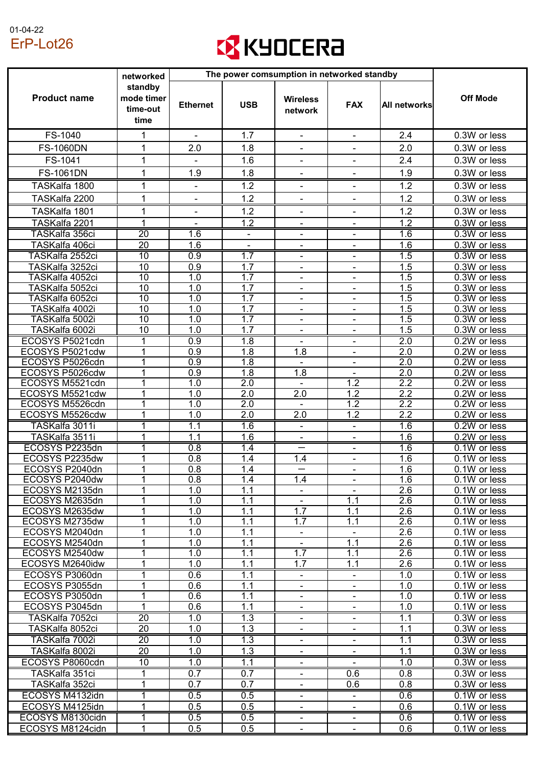## 01-04-22 ErP-Lot26



|                                    | networked                                 | The power comsumption in networked standby |                          |                                 |                          |                         |                                           |
|------------------------------------|-------------------------------------------|--------------------------------------------|--------------------------|---------------------------------|--------------------------|-------------------------|-------------------------------------------|
| <b>Product name</b>                | standby<br>mode timer<br>time-out<br>time | <b>Ethernet</b>                            | <b>USB</b>               | <b>Wireless</b><br>network      | <b>FAX</b>               | <b>All networks</b>     | <b>Off Mode</b>                           |
| FS-1040                            | 1                                         | $\blacksquare$                             | 1.7                      | $\overline{\phantom{a}}$        | $\overline{\phantom{a}}$ | 2.4                     | 0.3W or less                              |
| <b>FS-1060DN</b>                   | 1                                         | 2.0                                        | 1.8                      | $\overline{\phantom{a}}$        | $\blacksquare$           | 2.0                     | 0.3W or less                              |
| FS-1041                            | 1                                         |                                            | 1.6                      |                                 |                          | 2.4                     | 0.3W or less                              |
| <b>FS-1061DN</b>                   | 1                                         | 1.9                                        | 1.8                      |                                 |                          | 1.9                     | 0.3W or less                              |
|                                    |                                           |                                            |                          |                                 |                          |                         |                                           |
| TASKalfa 1800                      | 1                                         | $\overline{\phantom{a}}$                   | 1.2                      | $\overline{\phantom{a}}$        | $\overline{\phantom{a}}$ | 1.2                     | 0.3W or less                              |
| TASKalfa 2200                      | 1                                         | $\blacksquare$                             | 1.2                      | $\overline{\phantom{a}}$        | ۰                        | 1.2                     | 0.3W or less                              |
| TASKalfa 1801                      | 1                                         |                                            | 1.2                      |                                 |                          | 1.2                     | 0.3W or less                              |
| TASKalfa 2201                      |                                           |                                            | 1.2                      |                                 |                          | 1.2                     | 0.3W or less                              |
| TASKalfa 356ci                     | $\overline{20}$                           | $\overline{1.6}$                           | $\overline{\phantom{a}}$ |                                 |                          | 1.6                     | 0.3W or less                              |
| TASKalfa 406ci                     | 20                                        | 1.6                                        |                          | $\overline{\phantom{a}}$        | $\overline{\phantom{a}}$ | 1.6                     | 0.3W or less                              |
| TASKalfa 2552ci<br>TASKalfa 3252ci | $\overline{10}$<br>10                     | $\overline{0.9}$<br>0.9                    | 1.7<br>1.7               |                                 |                          | $\overline{1.5}$<br>1.5 | 0.3W or less<br>0.3W or less              |
| TASKalfa 4052ci                    | 10                                        | 1.0                                        | 1.7                      | $\blacksquare$                  |                          | 1.5                     | 0.3W or less                              |
| TASKalfa 5052ci                    | 10                                        | 1.0                                        | 1.7                      | $\overline{\phantom{a}}$        | $\overline{\phantom{a}}$ | 1.5                     | 0.3W or less                              |
| TASKalfa 6052ci                    | 10                                        | 1.0                                        | 1.7                      |                                 |                          | 1.5                     | $\overline{0.3W}$ or less                 |
| TASKalfa 4002i                     | 10                                        | 1.0                                        | 1.7                      | $\overline{\phantom{a}}$        |                          | 1.5                     | 0.3W or less                              |
| TASKalfa 5002i                     | 10                                        | 1.0                                        | 1.7                      | $\blacksquare$                  |                          | 1.5                     | 0.3W or less                              |
| TASKalfa 6002i                     | 10                                        | 1.0                                        | 1.7                      | $\blacksquare$                  | $\blacksquare$           | 1.5                     | 0.3W or less                              |
| ECOSYS P5021cdn                    | 1                                         | 0.9                                        | 1.8                      |                                 |                          | $\overline{2.0}$        | 0.2W or less                              |
| ECOSYS P5021cdw                    | 1                                         | 0.9                                        | 1.8                      | 1.8                             |                          | 2.0                     | 0.2W or less                              |
| ECOSYS P5026cdn                    | 1                                         | 0.9                                        | 1.8                      |                                 |                          | 2.0                     | 0.2W or less                              |
| ECOSYS P5026cdw                    | 1                                         | 0.9                                        | 1.8                      | 1.8                             |                          | 2.0                     | 0.2W or less                              |
| ECOSYS M5521cdn<br>ECOSYS M5521cdw | 1<br>1                                    | 1.0<br>1.0                                 | 2.0<br>2.0               | 2.0                             | 1.2<br>1.2               | 2.2<br>2.2              | 0.2W or less<br>0.2W or less              |
| ECOSYS M5526cdn                    | 1                                         | 1.0                                        | 2.0                      | $\blacksquare$                  | 1.2                      | 2.2                     | 0.2W or less                              |
| ECOSYS M5526cdw                    | 1                                         | 1.0                                        | 2.0                      | 2.0                             | 1.2                      | 2.2                     | 0.2W or less                              |
| TASKalfa 3011i                     | 1                                         | 1.1                                        | 1.6                      | $\overline{\phantom{a}}$        |                          | 1.6                     | 0.2W or less                              |
| TASKalfa 3511i                     | 1                                         | 1.1                                        | 1.6                      |                                 |                          | 1.6                     | 0.2W or less                              |
| ECOSYS P2235dn                     | 1                                         | 0.8                                        | 1.4                      |                                 |                          | 1.6                     | 0.1W or less                              |
| ECOSYS P2235dw                     | 1                                         | 0.8                                        | 1.4                      | 1.4                             | $\blacksquare$           | 1.6                     | 0.1W or less                              |
| ECOSYS P2040dn                     | 1                                         | 0.8                                        | 1.4                      |                                 |                          | 1.6                     | 0.1W or less                              |
| ECOSYS P2040dw                     | 1                                         | 0.8                                        | 1.4                      | 1.4                             | $\overline{\phantom{a}}$ | 1.6                     | 0.1W or less                              |
| ECOSYS M2135dn                     | 1                                         | 1.0                                        | 1.1                      | -                               |                          | 2.6                     | 0.1W or less                              |
| ECOSYS M2635dn<br>ECOSYS M2635dw   | 1<br>1                                    | 1.0<br>1.0                                 | 1.1<br>1.1               | $\overline{\phantom{a}}$<br>1.7 | 1.1<br>1.1               | 2.6<br>2.6              | 0.1W or less<br>0.1W or less              |
| ECOSYS M2735dw                     | 1                                         | 1.0                                        | 1.1                      | 1.7                             | 1.1                      | 2.6                     | 0.1W or less                              |
| ECOSYS M2040dn                     | 1                                         | 1.0                                        | 1.1                      |                                 |                          | 2.6                     | 0.1W or less                              |
| ECOSYS M2540dn                     | 1                                         | 1.0                                        | 1.1                      | $\blacksquare$                  | 1.1                      | 2.6                     | 0.1W or less                              |
| ECOSYS M2540dw                     | 1                                         | 1.0                                        | 1.1                      | 1.7                             | 1.1                      | 2.6                     | 0.1W or less                              |
| ECOSYS M2640idw                    | 1                                         | 1.0                                        | 1.1                      | 1.7                             | 1.1                      | 2.6                     | 0.1W or less                              |
| ECOSYS P3060dn                     | 1                                         | 0.6                                        | 1.1                      | $\overline{\phantom{a}}$        | $\overline{\phantom{a}}$ | 1.0                     | $\overline{0.1W}$ or less                 |
| ECOSYS P3055dn                     | 1                                         | 0.6                                        | 1.1                      |                                 |                          | 1.0                     | 0.1W or less                              |
| ECOSYS P3050dn                     | 1                                         | 0.6                                        | 1.1                      | $\blacksquare$                  |                          | 1.0                     | 0.1W or less                              |
| ECOSYS P3045dn                     | 1                                         | 0.6                                        | 1.1                      | $\overline{\phantom{a}}$        | -                        | 1.0                     | 0.1W or less                              |
| TASKalfa 7052ci                    | $\overline{20}$                           | 1.0                                        | 1.3                      |                                 |                          | 1.1                     | $\overline{0.3}$ W or less                |
| TASKalfa 8052ci<br>TASKalfa 7002i  | 20<br>$\overline{20}$                     | 1.0<br>1.0                                 | 1.3<br>$\overline{1.3}$  | $\overline{\phantom{a}}$        | ۰.                       | 1.1<br>1.1              | 0.3W or less<br>$\overline{0.3W}$ or less |
| TASKalfa 8002i                     | 20                                        | 1.0                                        | 1.3                      | -                               | ۰                        | 1.1                     | 0.3W or less                              |
| ECOSYS P8060cdn                    | 10                                        | 1.0                                        | 1.1                      | $\overline{\phantom{a}}$        |                          | 1.0                     | 0.3W or less                              |
| TASKalfa 351ci                     |                                           | 0.7                                        | 0.7                      |                                 | 0.6                      | 0.8                     | $\overline{0.3}$ W or less                |
| TASKalfa 352ci                     | 1                                         | 0.7                                        | 0.7                      | -                               | 0.6                      | 0.8                     | 0.3W or less                              |
| ECOSYS M4132idn                    | 1                                         | 0.5                                        | 0.5                      | $\overline{\phantom{a}}$        | -                        | 0.6                     | $\overline{0.1W}$ or less                 |
| ECOSYS M4125idn                    | 1                                         | 0.5                                        | 0.5                      |                                 |                          | 0.6                     | 0.1W or less                              |
| ECOSYS M8130cidn                   | 1                                         | 0.5                                        | 0.5                      | ۰                               | Ξ.                       | 0.6                     | 0.1W or less                              |
| ECOSYS M8124cidn                   | 1                                         | 0.5                                        | 0.5                      | -                               |                          | 0.6                     | 0.1W or less                              |